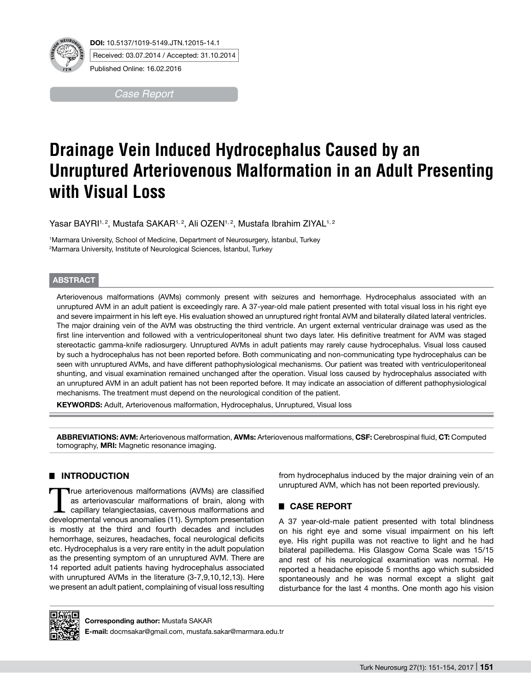

Received: 03.07.2014 / Accepted: 31.10.2014

Published Online: 16.02.2016

*Case Report* 

# **Drainage Vein Induced Hydrocephalus Caused by an Unruptured Arteriovenous Malformation in an Adult Presenting with Visual Loss**

Yasar BAYRI1,2, Mustafa SAKAR1,2, Ali OZEN1,2, Mustafa Ibrahim ZIYAL1,2

1 Marmara University, School of Medicine, Department of Neurosurgery, İstanbul, Turkey 2 Marmara University, Institute of Neurological Sciences, İstanbul, Turkey

### **ABSTRACT**

Arteriovenous malformations (AVMs) commonly present with seizures and hemorrhage. Hydrocephalus associated with an unruptured AVM in an adult patient is exceedingly rare. A 37-year-old male patient presented with total visual loss in his right eye and severe impairment in his left eye. His evaluation showed an unruptured right frontal AVM and bilaterally dilated lateral ventricles. The major draining vein of the AVM was obstructing the third ventricle. An urgent external ventricular drainage was used as the first line intervention and followed with a ventriculoperitoneal shunt two days later. His definitive treatment for AVM was staged stereotactic gamma-knife radiosurgery. Unruptured AVMs in adult patients may rarely cause hydrocephalus. Visual loss caused by such a hydrocephalus has not been reported before. Both communicating and non-communicating type hydrocephalus can be seen with unruptured AVMs, and have different pathophysiological mechanisms. Our patient was treated with ventriculoperitoneal shunting, and visual examination remained unchanged after the operation. Visual loss caused by hydrocephalus associated with an unruptured AVM in an adult patient has not been reported before. It may indicate an association of different pathophysiological mechanisms. The treatment must depend on the neurological condition of the patient.

**KEYWORDS:** Adult, Arteriovenous malformation, Hydrocephalus, Unruptured, Visual loss

**Abbrevıatıons: AVM:** Arteriovenous malformation, **AVMs:** Arteriovenous malformations, **CSF:** Cerebrospinal fluid, **CT:** Computed tomography, **MRI:** Magnetic resonance imaging.

# █ **Introduction**

True arteriovenous malformations (AVMs) are classified<br>as arteriovascular malformations of brain, along with<br>capillary telangiectasias, cavernous malformations and<br>developmental venous anomalies (11). Symptom presentation as arteriovascular malformations of brain, along with developmental venous anomalies (11). Symptom presentation is mostly at the third and fourth decades and includes hemorrhage, seizures, headaches, focal neurological deficits etc. Hydrocephalus is a very rare entity in the adult population as the presenting symptom of an unruptured AVM. There are 14 reported adult patients having hydrocephalus associated with unruptured AVMs in the literature (3-7,9,10,12,13). Here we present an adult patient, complaining of visual loss resulting

from hydrocephalus induced by the major draining vein of an unruptured AVM, which has not been reported previously.

# █ **Case Report**

A 37 year-old-male patient presented with total blindness on his right eye and some visual impairment on his left eye. His right pupilla was not reactive to light and he had bilateral papilledema. His Glasgow Coma Scale was 15/15 and rest of his neurological examination was normal. He reported a headache episode 5 months ago which subsided spontaneously and he was normal except a slight gait disturbance for the last 4 months. One month ago his vision



**Corresponding author: Mustafa SAKAR** 

**E-mail:** docmsakar@gmail.com, mustafa.sakar@marmara.edu.tr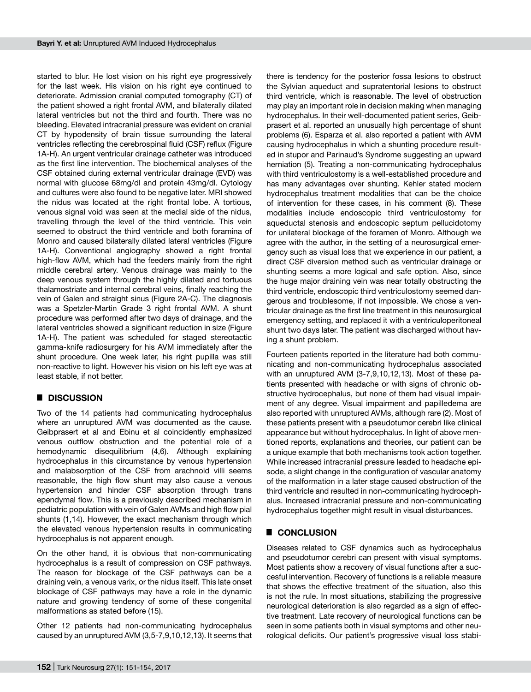started to blur. He lost vision on his right eye progressively for the last week. His vision on his right eye continued to deteriorate. Admission cranial computed tomography (CT) of the patient showed a right frontal AVM, and bilaterally dilated lateral ventricles but not the third and fourth. There was no bleeding. Elevated intracranial pressure was evident on cranial CT by hypodensity of brain tissue surrounding the lateral ventricles reflecting the cerebrospinal fluid (CSF) reflux (Figure 1A-H). An urgent ventricular drainage catheter was introduced as the first line intervention. The biochemical analyses of the CSF obtained during external ventricular drainage (EVD) was normal with glucose 68mg/dl and protein 43mg/dl. Cytology and cultures were also found to be negative later. MRI showed the nidus was located at the right frontal lobe. A tortious, venous signal void was seen at the medial side of the nidus, travelling through the level of the third ventricle. This vein seemed to obstruct the third ventricle and both foramina of Monro and caused bilaterally dilated lateral ventricles (Figure 1A-H). Conventional angiography showed a right frontal high-flow AVM, which had the feeders mainly from the right middle cerebral artery. Venous drainage was mainly to the deep venous system through the highly dilated and tortuous thalamostriate and internal cerebral veins, finally reaching the vein of Galen and straight sinus (Figure 2A-C). The diagnosis was a Spetzler-Martin Grade 3 right frontal AVM. A shunt procedure was performed after two days of drainage, and the lateral ventricles showed a significant reduction in size (Figure 1A-H). The patient was scheduled for staged stereotactic gamma-knife radiosurgery for his AVM immediately after the shunt procedure. One week later, his right pupilla was still non-reactive to light. However his vision on his left eye was at least stable, if not better.

# █ **Discussion**

Two of the 14 patients had communicating hydrocephalus where an unruptured AVM was documented as the cause. Geibprasert et al and Ebinu et al coincidently emphasized venous outflow obstruction and the potential role of a hemodynamic disequilibrium (4,6). Although explaining hydrocephalus in this circumstance by venous hypertension and malabsorption of the CSF from arachnoid villi seems reasonable, the high flow shunt may also cause a venous hypertension and hinder CSF absorption through trans ependymal flow. This is a previously described mechanism in pediatric population with vein of Galen AVMs and high flow pial shunts (1,14). However, the exact mechanism through which the elevated venous hypertension results in communicating hydrocephalus is not apparent enough.

On the other hand, it is obvious that non-communicating hydrocephalus is a result of compression on CSF pathways. The reason for blockage of the CSF pathways can be a draining vein, a venous varix, or the nidus itself. This late onset blockage of CSF pathways may have a role in the dynamic nature and growing tendency of some of these congenital malformations as stated before (15).

Other 12 patients had non-communicating hydrocephalus caused by an unruptured AVM (3,5-7,9,10,12,13). It seems that

there is tendency for the posterior fossa lesions to obstruct the Sylvian aqueduct and supratentorial lesions to obstruct third ventricle, which is reasonable. The level of obstruction may play an important role in decision making when managing hydrocephalus. In their well-documented patient series, Geibprasert et al. reported an unusually high percentage of shunt problems (6). Esparza et al. also reported a patient with AVM causing hydrocephalus in which a shunting procedure resulted in stupor and Parinaud's Syndrome suggesting an upward herniation (5). Treating a non-communicating hydrocephalus with third ventriculostomy is a well-established procedure and has many advantages over shunting. Kehler stated modern hydrocephalus treatment modalities that can be the choice of intervention for these cases, in his comment (8). These modalities include endoscopic third ventriculostomy for aqueductal stenosis and endoscopic septum pellucidotomy for unilateral blockage of the foramen of Monro. Although we agree with the author, in the setting of a neurosurgical emergency such as visual loss that we experience in our patient, a direct CSF diversion method such as ventricular drainage or shunting seems a more logical and safe option. Also, since the huge major draining vein was near totally obstructing the third ventricle, endoscopic third ventriculostomy seemed dangerous and troublesome, if not impossible. We chose a ventricular drainage as the first line treatment in this neurosurgical emergency setting, and replaced it with a ventriculoperitoneal shunt two days later. The patient was discharged without having a shunt problem.

Fourteen patients reported in the literature had both communicating and non-communicating hydrocephalus associated with an unruptured AVM (3-7,9,10,12,13). Most of these patients presented with headache or with signs of chronic obstructive hydrocephalus, but none of them had visual impairment of any degree. Visual impairment and papilledema are also reported with unruptured AVMs, although rare (2). Most of these patients present with a pseudotumor cerebri like clinical appearance but without hydrocephalus. In light of above mentioned reports, explanations and theories, our patient can be a unique example that both mechanisms took action together. While increased intracranial pressure leaded to headache episode, a slight change in the configuration of vascular anatomy of the malformation in a later stage caused obstruction of the third ventricle and resulted in non-communicating hydrocephalus. Increased intracranial pressure and non-communicating hydrocephalus together might result in visual disturbances.

# █ **conclusıon**

Diseases related to CSF dynamics such as hydrocephalus and pseudotumor cerebri can present with visual symptoms. Most patients show a recovery of visual functions after a succesful intervention. Recovery of functions is a reliable measure that shows the effective treatment of the situation, also this is not the rule. In most situations, stabilizing the progressive neurological deterioration is also regarded as a sign of effective treatment. Late recovery of neurological functions can be seen in some patients both in visual symptoms and other neurological deficits. Our patient's progressive visual loss stabi-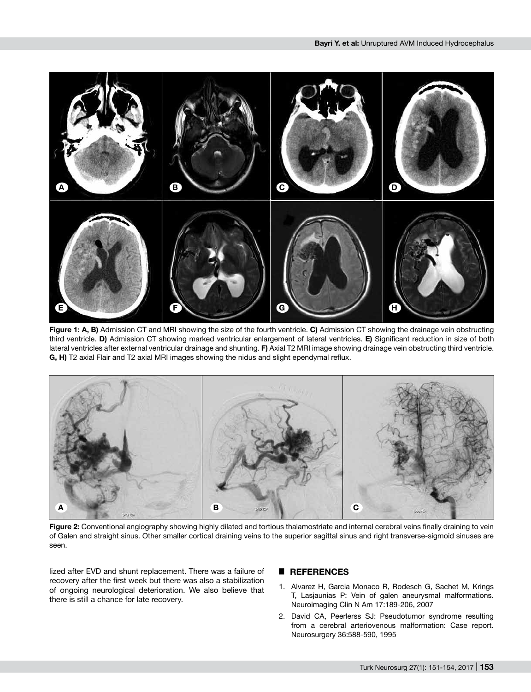

**Figure 1: A, B)** Admission CT and MRI showing the size of the fourth ventricle. **C)** Admission CT showing the drainage vein obstructing third ventricle. **D)** Admission CT showing marked ventricular enlargement of lateral ventricles. **E)** Significant reduction in size of both lateral ventricles after external ventricular drainage and shunting. **F)** Axial T2 MRI image showing drainage vein obstructing third ventricle. **G, H)** T2 axial Flair and T2 axial MRI images showing the nidus and slight ependymal reflux.



**Figure 2:** Conventional angiography showing highly dilated and tortious thalamostriate and internal cerebral veins finally draining to vein of Galen and straight sinus. Other smaller cortical draining veins to the superior sagittal sinus and right transverse-sigmoid sinuses are seen.

lized after EVD and shunt replacement. There was a failure of recovery after the first week but there was also a stabilization of ongoing neurological deterioration. We also believe that there is still a chance for late recovery.

#### █ **References**

- 1. Alvarez H, Garcia Monaco R, Rodesch G, Sachet M, Krings T, Lasjaunias P: Vein of galen aneurysmal malformations. Neuroimaging Clin N Am 17:189-206, 2007
- 2. David CA, Peerlerss SJ: Pseudotumor syndrome resulting from a cerebral arteriovenous malformation: Case report. Neurosurgery 36:588-590, 1995